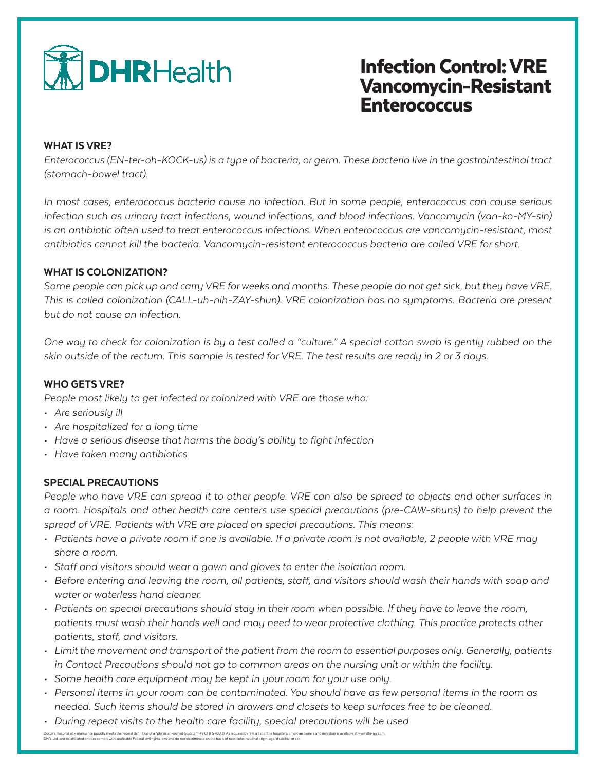

# Infection Control: VRE Vancomycin-Resistant Enterococcus

#### WHAT IS VRE?

*Enterococcus (EN-ter-oh-KOCK-us) is a type of bacteria, or germ. These bacteria live in the gastrointestinal tract (stomach-bowel tract).*

*In most cases, enterococcus bacteria cause no infection. But in some people, enterococcus can cause serious infection such as urinary tract infections, wound infections, and blood infections. Vancomycin (van-ko-MY-sin) is an antibiotic often used to treat enterococcus infections. When enterococcus are vancomycin-resistant, most antibiotics cannot kill the bacteria. Vancomycin-resistant enterococcus bacteria are called VRE for short.*

### WHAT IS COLONIZATION?

*Some people can pick up and carry VRE for weeks and months. These people do not get sick, but they have VRE. This is called colonization (CALL-uh-nih-ZAY-shun). VRE colonization has no symptoms. Bacteria are present but do not cause an infection.* 

*One way to check for colonization is by a test called a "culture." A special cotton swab is gently rubbed on the skin outside of the rectum. This sample is tested for VRE. The test results are ready in 2 or 3 days.* 

### WHO GETS VRE?

*People most likely to get infected or colonized with VRE are those who:*

- *• Are seriously ill*
- *• Are hospitalized for a long time*
- *• Have a serious disease that harms the body's ability to fight infection*
- *• Have taken many antibiotics*

### SPECIAL PRECAUTIONS

*People who have VRE can spread it to other people. VRE can also be spread to objects and other surfaces in a room. Hospitals and other health care centers use special precautions (pre-CAW-shuns) to help prevent the spread of VRE. Patients with VRE are placed on special precautions. This means:*

- *• Patients have a private room if one is available. If a private room is not available, 2 people with VRE may share a room.*
- *• Staff and visitors should wear a gown and gloves to enter the isolation room.*
- *• Before entering and leaving the room, all patients, staff, and visitors should wash their hands with soap and water or waterless hand cleaner.*
- *• Patients on special precautions should stay in their room when possible. If they have to leave the room, patients must wash their hands well and may need to wear protective clothing. This practice protects other patients, staff, and visitors.*
- *• Limit the movement and transport of the patient from the room to essential purposes only. Generally, patients in Contact Precautions should not go to common areas on the nursing unit or within the facility.*
- *• Some health care equipment may be kept in your room for your use only.*
- *• Personal items in your room can be contaminated. You should have as few personal items in the room as needed. Such items should be stored in drawers and closets to keep surfaces free to be cleaned.*
- *• During repeat visits to the health care facility, special precautions will be used*

Doctors Hopital at Renaisance proudly meets the federal definition of a "physicin-owned hospital" (42 CFR 5 489.3). As required by law, a list of the hospital's physician owners and investors is available at www.dhr-rgx.co